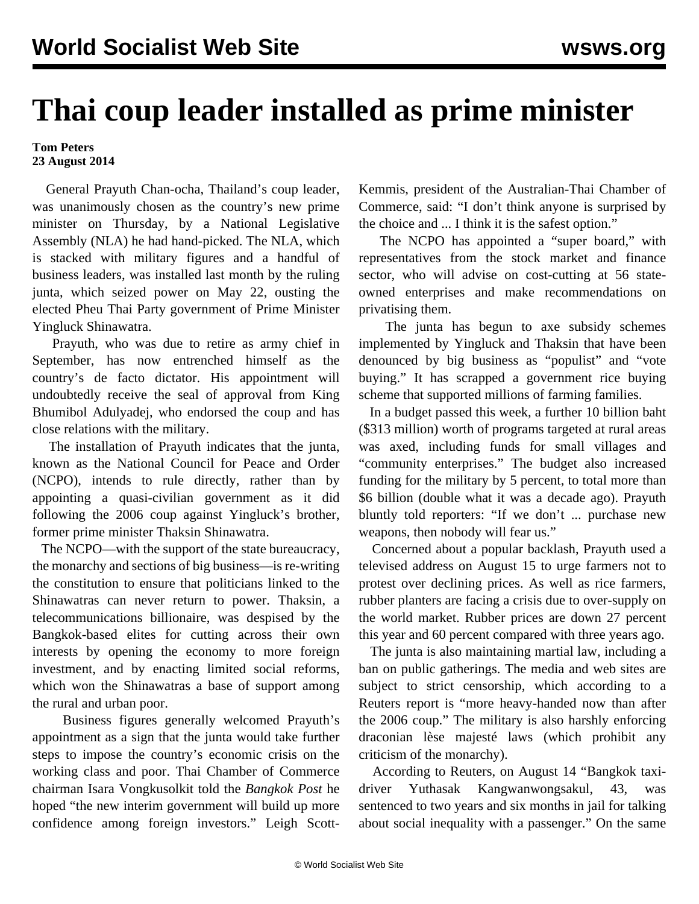## **Thai coup leader installed as prime minister**

## **Tom Peters 23 August 2014**

 General Prayuth Chan-ocha, Thailand's coup leader, was unanimously chosen as the country's new prime minister on Thursday, by a National Legislative Assembly (NLA) he had hand-picked. The NLA, which is stacked with military figures and a handful of business leaders, was installed last month by the ruling junta, which seized power on May 22, ousting the elected Pheu Thai Party government of Prime Minister Yingluck Shinawatra.

 Prayuth, who was due to retire as army chief in September, has now entrenched himself as the country's de facto dictator. His appointment will undoubtedly receive the seal of approval from King Bhumibol Adulyadej, who endorsed the coup and has close relations with the military.

 The installation of Prayuth indicates that the junta, known as the National Council for Peace and Order (NCPO), intends to rule directly, rather than by appointing a quasi-civilian government as it did following the 2006 coup against Yingluck's brother, former prime minister Thaksin Shinawatra.

 The NCPO—with the support of the state bureaucracy, the monarchy and sections of big business—is re-writing the constitution to ensure that politicians linked to the Shinawatras can never return to power. Thaksin, a telecommunications billionaire, was despised by the Bangkok-based elites for cutting across their own interests by opening the economy to more foreign investment, and by enacting limited social reforms, which won the Shinawatras a base of support among the rural and urban poor.

 Business figures generally welcomed Prayuth's appointment as a sign that the junta would take further steps to impose the country's economic crisis on the working class and poor. Thai Chamber of Commerce chairman Isara Vongkusolkit told the *Bangkok Post* he hoped "the new interim government will build up more confidence among foreign investors." Leigh ScottKemmis, president of the Australian-Thai Chamber of Commerce, said: "I don't think anyone is surprised by the choice and ... I think it is the safest option."

 The NCPO has appointed a "super board," with representatives from the stock market and finance sector, who will advise on cost-cutting at 56 stateowned enterprises and make recommendations on privatising them.

 The junta has begun to axe subsidy schemes implemented by Yingluck and Thaksin that have been denounced by big business as "populist" and "vote buying." It has scrapped a government rice buying scheme that supported millions of farming families.

 In a budget passed this week, a further 10 billion baht (\$313 million) worth of programs targeted at rural areas was axed, including funds for small villages and "community enterprises." The budget also increased funding for the military by 5 percent, to total more than \$6 billion (double what it was a decade ago). Prayuth bluntly told reporters: "If we don't ... purchase new weapons, then nobody will fear us."

 Concerned about a popular backlash, Prayuth used a televised address on August 15 to urge farmers not to protest over declining prices. As well as rice farmers, rubber planters are facing a crisis due to over-supply on the world market. Rubber prices are down 27 percent this year and 60 percent compared with three years ago.

 The junta is also maintaining martial law, including a ban on public gatherings. The media and web sites are subject to strict censorship, which according to a Reuters report is "more heavy-handed now than after the 2006 coup." The military is also harshly enforcing draconian lèse majesté laws (which prohibit any criticism of the monarchy).

 According to Reuters, on August 14 "Bangkok taxidriver Yuthasak Kangwanwongsakul, 43, was sentenced to two years and six months in jail for talking about social inequality with a passenger." On the same